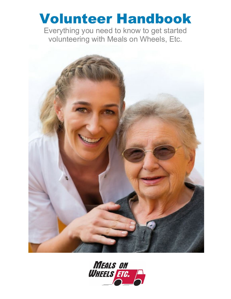# Volunteer Handbook

Everything you need to know to get started volunteering with Meals on Wheels, Etc.



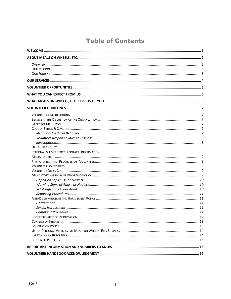# **Table of Contents**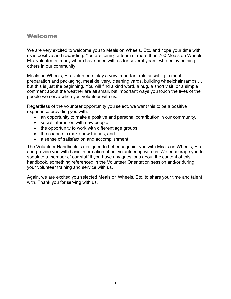## <span id="page-3-0"></span>Welcome

We are very excited to welcome you to Meals on Wheels, Etc. and hope your time with us is positive and rewarding. You are joining a team of more than 700 Meals on Wheels, Etc. volunteers, many whom have been with us for several years, who enjoy helping others in our community.

Meals on Wheels, Etc. volunteers play a very important role assisting in meal preparation and packaging, meal delivery, cleaning yards, building wheelchair ramps … but this is just the beginning. You will find a kind word, a hug, a short visit, or a simple comment about the weather are all small, but important ways you touch the lives of the people we serve when you volunteer with us.

Regardless of the volunteer opportunity you select, we want this to be a positive experience providing you with:

- an opportunity to make a positive and personal contribution in our community,
- social interaction with new people,
- the opportunity to work with different age groups,
- the chance to make new friends, and
- a sense of satisfaction and accomplishment.

The Volunteer Handbook is designed to better acquaint you with Meals on Wheels, Etc. and provide you with basic information about volunteering with us. We encourage you to speak to a member of our staff if you have any questions about the content of this handbook, something referenced in the Volunteer Orientation session and/or during your volunteer training and service with us.

Again, we are excited you selected Meals on Wheels, Etc. to share your time and talent with. Thank you for serving with us.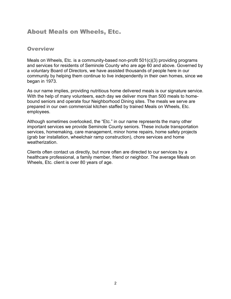# <span id="page-4-0"></span>About Meals on Wheels, Etc.

#### <span id="page-4-1"></span>**Overview**

Meals on Wheels, Etc. is a community-based non-profit 501(c)(3) providing programs and services for residents of Seminole County who are age 60 and above. Governed by a voluntary Board of Directors, we have assisted thousands of people here in our community by helping them continue to live independently in their own homes, since we began in 1973.

As our name implies, providing nutritious home delivered meals is our signature service. With the help of many volunteers, each day we deliver more than 500 meals to homebound seniors and operate four Neighborhood Dining sites. The meals we serve are prepared in our own commercial kitchen staffed by trained Meals on Wheels, Etc. employees.

Although sometimes overlooked, the "Etc." in our name represents the many other important services we provide Seminole County seniors. These include transportation services, homemaking, care management, minor home repairs, home safety projects (grab bar installation, wheelchair ramp construction), chore services and home weatherization.

Clients often contact us directly, but more often are directed to our services by a healthcare professional, a family member, friend or neighbor. The average Meals on Wheels, Etc. client is over 80 years of age.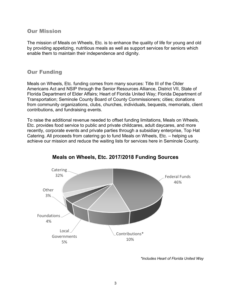#### <span id="page-5-0"></span>Our Mission

The mission of Meals on Wheels, Etc. is to enhance the quality of life for young and old by providing appetizing, nutritious meals as well as support services for seniors which enable them to maintain their independence and dignity.

#### <span id="page-5-1"></span>Our Funding

Meals on Wheels, Etc. funding comes from many sources: Title III of the Older Americans Act and NSIP through the Senior Resources Alliance, District VII, State of Florida Department of Elder Affairs; Heart of Florida United Way; Florida Department of Transportation; Seminole County Board of County Commissioners; cities; donations from community organizations, clubs, churches, individuals, bequests, memorials, client contributions, and fundraising events.

To raise the additional revenue needed to offset funding limitations, Meals on Wheels, Etc. provides food service to public and private childcares, adult daycares, and more recently, corporate events and private parties through a subsidiary enterprise, Top Hat Catering. All proceeds from catering go to fund Meals on Wheels, Etc. – helping us achieve our mission and reduce the waiting lists for services here in Seminole County.



## **Meals on Wheels, Etc. 2017/2018 Funding Sources**

*\*Includes Heart of Florida United Way*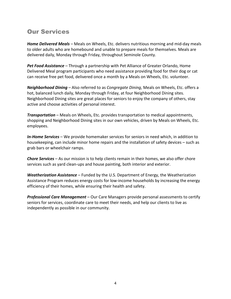# <span id="page-6-0"></span>Our Services

*Home Delivered Meals* – Meals on Wheels, Etc. delivers nutritious morning and mid-day meals to older adults who are homebound and unable to prepare meals for themselves. Meals are delivered daily, Monday through Friday, throughout Seminole County.

*Pet Food Assistance* – Through a partnership with Pet Alliance of Greater Orlando, Home Delivered Meal program participants who need assistance providing food for their dog or cat can receive free pet food, delivered once a month by a Meals on Wheels, Etc. volunteer.

*Neighborhood Dining* – Also referred to as *Congregate Dining*, Meals on Wheels, Etc. offers a hot, balanced lunch daily, Monday through Friday, at four Neighborhood Dining sites. Neighborhood Dining sites are great places for seniors to enjoy the company of others, stay active and choose activities of personal interest.

*Transportation* – Meals on Wheels, Etc. provides transportation to medical appointments, shopping and Neighborhood Dining sites in our own vehicles, driven by Meals on Wheels, Etc. employees.

*In-Home Services* – We provide homemaker services for seniors in need which, in addition to housekeeping, can include minor home repairs and the installation of safety devices – such as grab bars or wheelchair ramps.

*Chore Services* – As our mission is to help clients remain in their homes, we also offer chore services such as yard clean-ups and house painting, both interior and exterior.

*Weatherization Assistance* – Funded by the U.S. Department of Energy, the Weatherization Assistance Program reduces energy costs for low-income households by increasing the energy efficiency of their homes, while ensuring their health and safety.

*Professional Care Management* – Our Care Managers provide personal assessments to certify seniors for services, coordinate care to meet their needs, and help our clients to live as independently as possible in our community.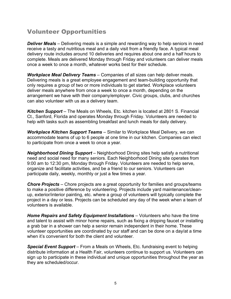# <span id="page-7-0"></span>Volunteer Opportunities

*Deliver Meals* – Delivering meals is a simple and rewarding way to help seniors in need receive a tasty and nutritious meal and a daily visit from a friendly face. A typical meal delivery route includes around 10 deliveries and requires about one and a half hours to complete. Meals are delivered Monday through Friday and volunteers can deliver meals once a week to once a month, whatever works best for their schedule.

*Workplace Meal Delivery Teams* – Companies of all sizes can help deliver meals. Delivering meals is a great employee engagement and team-building opportunity that only requires a group of two or more individuals to get started. Workplace volunteers deliver meals anywhere from once a week to once a month, depending on the arrangement we have with their company/employer. Civic groups, clubs, and churches can also volunteer with us as a delivery team.

*Kitchen Support* – The Meals on Wheels, Etc. kitchen is located at 2801 S. Financial Ct., Sanford, Florida and operates Monday through Friday. Volunteers are needed to help with tasks such as assembling breakfast and lunch meals for daily delivery.

*Workplace Kitchen Support Teams* – Similar to Workplace Meal Delivery, we can accommodate teams of up to 6 people at one time in our kitchen. Companies can elect to participate from once a week to once a year.

*Neighborhood Dining Support* – Neighborhood Dining sites help satisfy a nutritional need and social need for many seniors. Each Neighborhood Dining site operates from 9:00 am to 12:30 pm, Monday through Friday. Volunteers are needed to help serve, organize and facilitate activities, and be a friend to our seniors. Volunteers can participate daily, weekly, monthly or just a few times a year.

*Chore Projects* – Chore projects are a great opportunity for families and groups/teams to make a positive difference by volunteering. Projects include yard maintenance/cleanup, exterior/interior painting, etc. where a group of volunteers will typically complete the project in a day or less. Projects can be scheduled any day of the week when a team of volunteers is available.

*Home Repairs and Safety Equipment Installations* – Volunteers who have the time and talent to assist with minor home repairs, such as fixing a dripping faucet or installing a grab bar in a shower can help a senior remain independent in their home. These volunteer opportunities are coordinated by our staff and can be done on a day/at a time when it's convenient for both the client and volunteer

*Special Event Support* – From a Meals on Wheels, Etc. fundraising event to helping distribute information at a Health Fair, volunteers continue to support us. Volunteers can sign up to participate in these individual and unique opportunities throughout the year as they are scheduled/occur.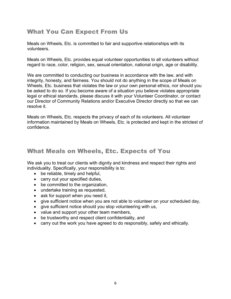# <span id="page-8-0"></span>What You Can Expect From Us

Meals on Wheels, Etc. is committed to fair and supportive relationships with its volunteers.

Meals on Wheels, Etc. provides equal volunteer opportunities to all volunteers without regard to race, color, religion, sex, sexual orientation, national origin, age or disability.

We are committed to conducting our business in accordance with the law, and with integrity, honesty, and fairness. You should not do anything in the scope of Meals on Wheels, Etc. business that violates the law or your own personal ethics, nor should you be asked to do so. If you become aware of a situation you believe violates appropriate legal or ethical standards, please discuss it with your Volunteer Coordinator, or contact our Director of Community Relations and/or Executive Director directly so that we can resolve it.

Meals on Wheels, Etc. respects the privacy of each of its volunteers. All volunteer information maintained by Meals on Wheels, Etc. is protected and kept in the strictest of confidence.

# <span id="page-8-1"></span>What Meals on Wheels, Etc. Expects of You

We ask you to treat our clients with dignity and kindness and respect their rights and individuality. Specifically, your responsibility is to:

- be reliable, timely and helpful,
- carry out your specified duties,
- be committed to the organization,
- undertake training as requested,
- ask for support when you need it,
- give sufficient notice when you are not able to volunteer on your scheduled day,
- give sufficient notice should you stop volunteering with us,
- value and support your other team members,
- be trustworthy and respect client confidentiality, and
- carry out the work you have agreed to do responsibly, safely and ethically.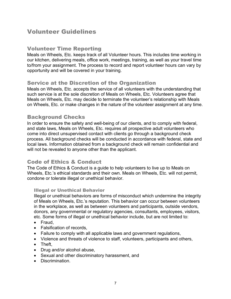# <span id="page-9-0"></span>Volunteer Guidelines

#### <span id="page-9-1"></span>Volunteer Time Reporting

Meals on Wheels, Etc. keeps track of all Volunteer hours. This includes time working in our kitchen, delivering meals, office work, meetings, training, as well as your travel time to/from your assignment. The process to record and report volunteer hours can vary by opportunity and will be covered in your training.

#### <span id="page-9-2"></span>Service at the Discretion of the Organization

Meals on Wheels, Etc. accepts the service of all volunteers with the understanding that such service is at the sole discretion of Meals on Wheels, Etc. Volunteers agree that Meals on Wheels, Etc. may decide to terminate the volunteer's relationship with Meals on Wheels, Etc. or make changes in the nature of the volunteer assignment at any time.

#### <span id="page-9-3"></span>Background Checks

In order to ensure the safety and well-being of our clients, and to comply with federal, and state laws, Meals on Wheels, Etc. requires all prospective adult volunteers who come into direct unsupervised contact with clients go through a background check process. All background checks will be conducted in accordance with federal, state and local laws. Information obtained from a background check will remain confidential and will not be revealed to anyone other than the applicant.

## <span id="page-9-4"></span>Code of Ethics & Conduct

The Code of Ethics & Conduct is a guide to help volunteers to live up to Meals on Wheels, Etc.'s ethical standards and their own. Meals on Wheels, Etc. will not permit, condone or tolerate illegal or unethical behavior.

#### <span id="page-9-5"></span>Illegal or Unethical Behavior

Illegal or unethical behaviors are forms of misconduct which undermine the integrity of Meals on Wheels, Etc.'s reputation. This behavior can occur between volunteers in the workplace, as well as between volunteers and participants, outside vendors, donors, any governmental or regulatory agencies, consultants, employees, visitors, etc. Some forms of illegal or unethical behavior include, but are not limited to:

- Fraud,
- Falsification of records,
- Failure to comply with all applicable laws and government regulations,
- Violence and threats of violence to staff, volunteers, participants and others,
- Theft,
- Drug and/or alcohol abuse,
- Sexual and other discriminatory harassment, and
- Discrimination.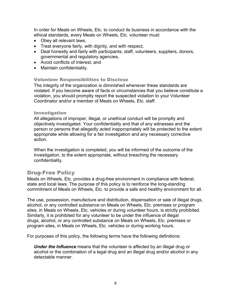In order for Meals on Wheels, Etc. to conduct its business in accordance with the ethical standards, every Meals on Wheels, Etc. volunteer must:

- Obey all relevant laws,
- Treat everyone fairly, with dignity, and with respect,
- Deal honestly and fairly with participants, staff, volunteers, suppliers, donors, governmental and regulatory agencies,
- Avoid conflicts of interest, and
- Maintain confidentiality.

#### <span id="page-10-0"></span>Volunteer Responsibilities to Disclose

The integrity of the organization is diminished whenever these standards are violated. If you become aware of facts or circumstances that you believe constitute a violation, you should promptly report the suspected violation to your Volunteer Coordinator and/or a member of Meals on Wheels, Etc. staff.

#### <span id="page-10-1"></span>Investigation

All allegations of improper, illegal, or unethical conduct will be promptly and objectively investigated. Your confidentiality and that of any witnesses and the person or persons that allegedly acted inappropriately will be protected to the extent appropriate while allowing for a fair investigation and any necessary corrective action.

When the investigation is completed, you will be informed of the outcome of the investigation, to the extent appropriate, without breaching the necessary confidentiality.

#### <span id="page-10-2"></span>Drug-Free Policy

Meals on Wheels, Etc. provides a drug-free environment in compliance with federal, state and local laws. The purpose of this policy is to reinforce the long-standing commitment of Meals on Wheels, Etc. to provide a safe and healthy environment for all.

The use, possession, manufacture and distribution, dispensation or sale of illegal drugs, alcohol, or any controlled substance on Meals on Wheels, Etc. premises or program sites, in Meals on Wheels, Etc. vehicles or during volunteer hours, is strictly prohibited. Similarly, it is prohibited for any volunteer to be under the influence of illegal drugs, alcohol, or any controlled substance on Meals on Wheels, Etc. premises or program sites, in Meals on Wheels, Etc. vehicles or during working hours.

For purposes of this policy, the following terms have the following definitions:

*Under the Influence* means that the volunteer is affected by an illegal drug or alcohol or the combination of a legal drug and an illegal drug and/or alcohol in any detectable manner.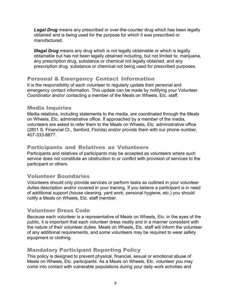*Legal Drug* means any prescribed or over-the-counter drug which has been legally obtained and is being used for the purpose for which it was prescribed or manufactured.

*Illegal Drug* means any drug which is not legally obtainable or which is legally obtainable but has not been legally obtained including, but not limited to, marijuana, any prescription drug, substance or chemical not legally obtained, and any prescription drug, substance or chemical not being used for prescribed purposes.

## <span id="page-11-0"></span>Personal & Emergency Contact Information

It is the responsibility of each volunteer to regularly update their personal and emergency contact information. This update can be made by notifying your Volunteer Coordinator and/or contacting a member of the Meals on Wheels, Etc. staff.

#### <span id="page-11-1"></span>Media Inquiries

Media relations, including statements to the media, are coordinated through the Meals on Wheels, Etc. administrative office. If approached by a member of the media, volunteers are asked to refer them to the Meals on Wheels, Etc. administrative office (2801 S. Financial Ct., Sanford, Florida) and/or provide them with our phone number, 407-333-8877.

## <span id="page-11-2"></span>Participants and Relatives as Volunteers

Participants and relatives of participants may be accepted as volunteers where such service does not constitute an obstruction to or conflict with provision of services to the participant or others.

## <span id="page-11-3"></span>Volunteer Boundaries

Volunteers should only provide services or perform tasks as outlined in your volunteer duties description and/or covered in your training. If you believe a participant is in need of additional support (house cleaning, yard work, personal hygiene, etc.) you should notify a Meals on Wheels, Etc. staff member.

## <span id="page-11-4"></span>Volunteer Dress Code

Because each volunteer is a representative of Meals on Wheels, Etc. in the eyes of the public, it is important that each volunteer dress neatly and in a manner consistent with the nature of their volunteer duties. Meals on Wheels, Etc. staff will inform the volunteer of any additional requirements, and some volunteers may be required to wear safety equipment or clothing.

## <span id="page-11-5"></span>Mandatory Participant Reporting Policy

This policy is designed to prevent physical, financial, sexual or emotional abuse of Meals on Wheels, Etc. participants. As a Meals on Wheels, Etc. volunteer you may come into contact with vulnerable populations during your daily work activities and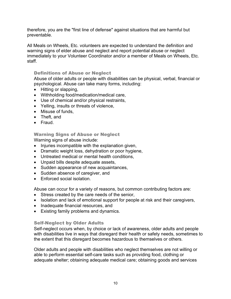therefore, you are the "first line of defense" against situations that are harmful but preventable.

All Meals on Wheels, Etc. volunteers are expected to understand the definition and warning signs of elder abuse and neglect and report potential abuse or neglect immediately to your Volunteer Coordinator and/or a member of Meals on Wheels, Etc. staff.

#### <span id="page-12-0"></span>Definitions of Abuse or Neglect

Abuse of older adults or people with disabilities can be physical, verbal, financial or psychological. Abuse can take many forms, including:

- Hitting or slapping,
- Withholding food/medication/medical care,
- Use of chemical and/or physical restraints,
- Yelling, insults or threats of violence,
- Misuse of funds,
- Theft, and
- Fraud.

<span id="page-12-1"></span>Warning Signs of Abuse or Neglect

Warning signs of abuse include:

- Injuries incompatible with the explanation given,
- Dramatic weight loss, dehydration or poor hygiene,
- Untreated medical or mental health conditions,
- Unpaid bills despite adequate assets,
- Sudden appearance of new acquaintances,
- Sudden absence of caregiver, and
- Enforced social isolation.

Abuse can occur for a variety of reasons, but common contributing factors are:

- Stress created by the care needs of the senior,
- Isolation and lack of emotional support for people at risk and their caregivers,
- Inadequate financial resources, and
- Existing family problems and dynamics.

#### <span id="page-12-2"></span>Self-Neglect by Older Adults

Self-neglect occurs when, by choice or lack of awareness, older adults and people with disabilities live in ways that disregard their health or safety needs, sometimes to the extent that this disregard becomes hazardous to themselves or others.

Older adults and people with disabilities who neglect themselves are not willing or able to perform essential self-care tasks such as providing food, clothing or adequate shelter; obtaining adequate medical care; obtaining goods and services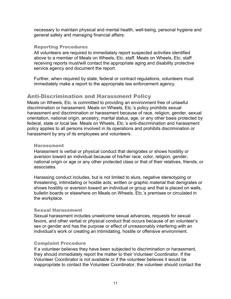necessary to maintain physical and mental health, well-being, personal hygiene and general safety and managing financial affairs.

#### <span id="page-13-0"></span>Reporting Procedures

All volunteers are required to immediately report suspected activities identified above to a member of Meals on Wheels, Etc. staff. Meals on Wheels, Etc. staff receiving reports must/will contact the appropriate aging and disability protective service agency and document the report.

Further, when required by state, federal or contract regulations, volunteers must immediately make a report to the appropriate law enforcement agency.

#### <span id="page-13-1"></span>Anti-Discrimination and Harassment Policy

Meals on Wheels, Etc. is committed to providing an environment free of unlawful discrimination or harassment. Meals on Wheels, Etc.'s policy prohibits sexual harassment and discrimination or harassment because of race, religion, gender, sexual orientation, national origin, ancestry, marital status, age, or any other basis protected by federal, state or local law. Meals on Wheels, Etc.'s anti-discrimination and harassment policy applies to all persons involved in its operations and prohibits discrimination or harassment by any of its employees and volunteers.

#### <span id="page-13-2"></span>Harassment

Harassment is verbal or physical conduct that denigrates or shows hostility or aversion toward an individual because of his/her race, color, religion, gender, national origin or age or any other protected class or that of their relatives, friends, or associates.

Harassing conduct includes, but is not limited to slurs, negative stereotyping or threatening, intimidating or hostile acts; written or graphic material that denigrates or shows hostility or aversion toward an individual or group and that is placed on walls, bulletin boards or elsewhere on Meals on Wheels, Etc.'s premises or circulated in the workplace.

#### <span id="page-13-3"></span>Sexual Harassment

Sexual harassment includes unwelcome sexual advances, requests for sexual favors, and other verbal or physical conduct that occurs because of an volunteer's sex or gender and has the purpose or effect of unreasonably interfering with an individual's work or creating an intimidating, hostile or offensive environment.

#### <span id="page-13-4"></span>Complaint Procedure

If a volunteer believes they have been subjected to discrimination or harassment, they should immediately report the matter to their Volunteer Coordinator. If the Volunteer Coordinator is not available or if the volunteer believes it would be inappropriate to contact the Volunteer Coordinator, the volunteer should contact the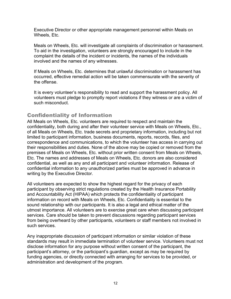Executive Director or other appropriate management personnel within Meals on Wheels, Etc.

Meals on Wheels, Etc. will investigate all complaints of discrimination or harassment. To aid in the investigation, volunteers are strongly encouraged to include in the complaint the details of the incident or incidents, the names of the individuals involved and the names of any witnesses.

If Meals on Wheels, Etc. determines that unlawful discrimination or harassment has occurred, effective remedial action will be taken commensurate with the severity of the offense.

It is every volunteer's responsibility to read and support the harassment policy. All volunteers must pledge to promptly report violations if they witness or are a victim of such misconduct.

## <span id="page-14-0"></span>Confidentiality of Information

All Meals on Wheels, Etc. volunteers are required to respect and maintain the confidentiality, both during and after their volunteer service with Meals on Wheels, Etc., of all Meals on Wheels, Etc. trade secrets and proprietary information, including but not limited to participant information, business documents, reports, records, files, and correspondence and communications, to which the volunteer has access in carrying out their responsibilities and duties. None of the above may be copied or removed from the premises of Meals on Wheels, Etc. without prior written consent from Meals on Wheels, Etc. The names and addresses of Meals on Wheels, Etc. donors are also considered confidential, as well as any and all participant and volunteer information. Release of confidential information to any unauthorized parties must be approved in advance in writing by the Executive Director.

All volunteers are expected to show the highest regard for the privacy of each participant by observing strict regulations created by the Health Insurance Portability and Accountability Act (HIPAA) which protects the confidentiality of participant information on record with Meals on Wheels, Etc. Confidentiality is essential to the sound relationship with our participants. It is also a legal and ethical matter of the utmost importance. All volunteers are to exercise great care when discussing participant services. Care should be taken to prevent discussions regarding participant services from being overheard by other participants, volunteers or staff members not involved in such services.

Any inappropriate discussion of participant information or similar violation of these standards may result in immediate termination of volunteer service. Volunteers must not disclose information for any purpose without written consent of the participant, the participant's attorney, or the participant's guardian, except as may be required by funding agencies, or directly connected with arranging for services to be provided, or administration and development of the program.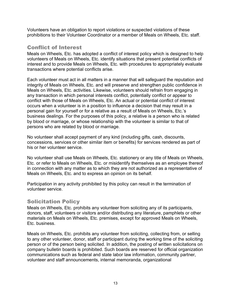Volunteers have an obligation to report violations or suspected violations of these prohibitions to their Volunteer Coordinator or a member of Meals on Wheels, Etc. staff.

## <span id="page-15-0"></span>Conflict of Interest

Meals on Wheels, Etc. has adopted a conflict of interest policy which is designed to help volunteers of Meals on Wheels, Etc. identify situations that present potential conflicts of interest and to provide Meals on Wheels, Etc. with procedures to appropriately evaluate transactions where potential conflicts arise.

Each volunteer must act in all matters in a manner that will safeguard the reputation and integrity of Meals on Wheels, Etc. and will preserve and strengthen public confidence in Meals on Wheels, Etc. activities. Likewise, volunteers should refrain from engaging in any transaction in which personal interests conflict, potentially conflict or appear to conflict with those of Meals on Wheels, Etc. An actual or potential conflict of interest occurs when a volunteer is in a position to influence a decision that may result in a personal gain for yourself or for a relative as a result of Meals on Wheels, Etc.'s business dealings. For the purposes of this policy, a relative is a person who is related by blood or marriage, or whose relationship with the volunteer is similar to that of persons who are related by blood or marriage.

No volunteer shall accept payment of any kind (including gifts, cash, discounts, concessions, services or other similar item or benefits) for services rendered as part of his or her volunteer service.

No volunteer shall use Meals on Wheels, Etc. stationery or any title of Meals on Wheels, Etc. or refer to Meals on Wheels, Etc. or misidentify themselves as an employee thereof in connection with any matter as to which they are not authorized as a representative of Meals on Wheels, Etc. and to express an opinion on its behalf.

Participation in any activity prohibited by this policy can result in the termination of volunteer service.

#### <span id="page-15-1"></span>Solicitation Policy

Meals on Wheels, Etc. prohibits any volunteer from soliciting any of its participants, donors, staff, volunteers or visitors and/or distributing any literature, pamphlets or other materials on Meals on Wheels, Etc. premises, except for approved Meals on Wheels, Etc. business.

Meals on Wheels, Etc. prohibits any volunteer from soliciting, collecting from, or selling to any other volunteer, donor, staff or participant during the working time of the soliciting person or of the person being solicited. In addition, the posting of written solicitations on company bulletin boards is prohibited. Such boards are reserved for official organization communications such as federal and state labor law information, community partner, volunteer and staff announcements, internal memoranda, organizational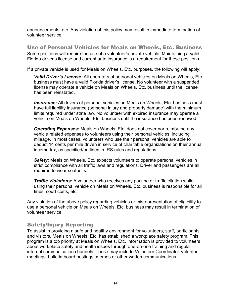announcements, etc. Any violation of this policy may result in immediate termination of volunteer service.

<span id="page-16-0"></span>Use of Personal Vehicles for Meals on Wheels, Etc. Business Some positions will require the use of a volunteer's private vehicle. Maintaining a valid Florida driver's license and current auto insurance is a requirement for these positions.

If a private vehicle is used for Meals on Wheels, Etc. purposes, the following will apply:

*Valid Driver's License:* All operators of personal vehicles on Meals on Wheels, Etc. business must have a valid Florida driver's license. No volunteer with a suspended license may operate a vehicle on Meals on Wheels, Etc. business until the license has been reinstated.

**Insurance:** All drivers of personal vehicles on Meals on Wheels, Etc. business must have full liability insurance (personal injury and property damage) with the minimum limits required under state law. No volunteer with expired insurance may operate a vehicle on Meals on Wheels, Etc. business until the insurance has been renewed.

*Operating Expenses:* Meals on Wheels, Etc. does not cover nor reimburse any vehicle related expenses to volunteers using their personal vehicles, including mileage. In most cases, volunteers who use their personal vehicles are able to deduct 14 cents per mile driven in service of charitable organizations on their annual income tax, as specified/outlined in IRS rules and regulations.

**Safety:** Meals on Wheels, Etc. expects volunteers to operate personal vehicles in strict compliance with all traffic laws and regulations. Driver and passengers are all required to wear seatbelts.

*Traffic Violations:* A volunteer who receives any parking or traffic citation while using their personal vehicle on Meals on Wheels, Etc. business is responsible for all fines, court costs, etc.

Any violation of the above policy regarding vehicles or misrepresentation of eligibility to use a personal vehicle on Meals on Wheels, Etc. business may result in termination of volunteer service.

## <span id="page-16-1"></span>Safety/Injury Reporting

To assist in providing a safe and healthy environment for volunteers, staff, participants and visitors, Meals on Wheels, Etc. has established a workplace safety program. This program is a top priority at Meals on Wheels, Etc. Information is provided to volunteers about workplace safety and health issues through one-on-one training and regular internal communication channels. These may include Volunteer Coordinator-Volunteer meetings, bulletin board postings, memos or other written communications.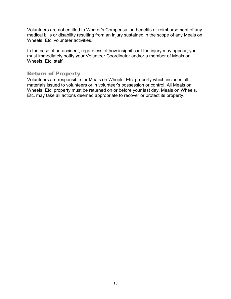Volunteers are not entitled to Worker's Compensation benefits or reimbursement of any medical bills or disability resulting from an injury sustained in the scope of any Meals on Wheels, Etc. volunteer activities.

In the case of an accident, regardless of how insignificant the injury may appear, you must immediately notify your Volunteer Coordinator and/or a member of Meals on Wheels, Etc. staff.

#### <span id="page-17-0"></span>Return of Property

Volunteers are responsible for Meals on Wheels, Etc. property which includes all materials issued to volunteers or in volunteer's possession or control. All Meals on Wheels, Etc. property must be returned on or before your last day. Meals on Wheels, Etc. may take all actions deemed appropriate to recover or protect its property.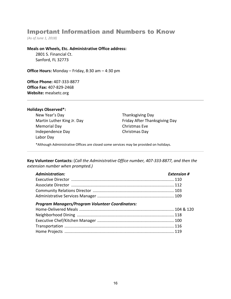# <span id="page-18-0"></span>Important Information and Numbers to Know

*(As of June 1, 2018)*

#### **Meals on Wheels, Etc. Administrative Office address:**

2801 S. Financial Ct. Sanford, FL 32773

**Office Hours:** Monday – Friday, 8:30 am – 4:30 pm

**Office Phone:** 407-333-8877 **Office Fax:** 407-829-2468 **Website:** mealsetc.org

#### **Holidays Observed\*:**

New Year's Day **Thanksgiving Day** Memorial Day Christmas Eve Independence Day Christmas Day Labor Day

Martin Luther King Jr. Day **Friday After Thanksgiving Day** 

\*Although Administrative Offices are closed some services may be provided on holidays.

**Key Volunteer Contacts:** (*Call the Administrative Office number, 407-333-8877, and then the extension number when prompted.)*

| <b>Administration:</b> | <b>Extension #</b> |
|------------------------|--------------------|
|                        |                    |
|                        |                    |
|                        |                    |
|                        |                    |

#### *Program Managers/Program Volunteer Coordinators:*